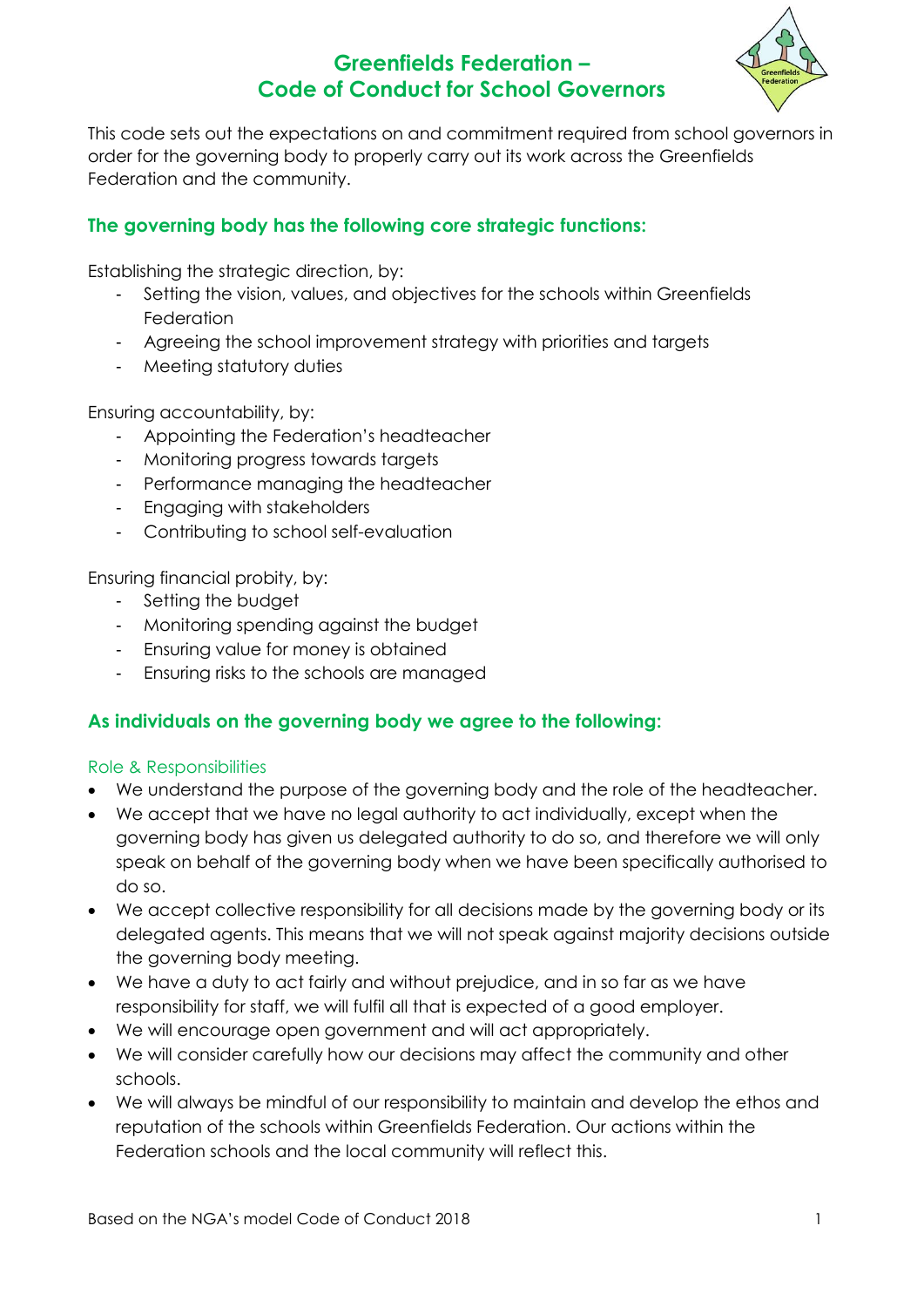

This code sets out the expectations on and commitment required from school governors in order for the governing body to properly carry out its work across the Greenfields Federation and the community.

## **The governing body has the following core strategic functions:**

Establishing the strategic direction, by:

- Setting the vision, values, and objectives for the schools within Greenfields **Federation**
- Agreeing the school improvement strategy with priorities and targets
- Meeting statutory duties

Ensuring accountability, by:

- Appointing the Federation's headteacher
- Monitoring progress towards targets
- Performance managing the headteacher
- Engaging with stakeholders
- Contributing to school self-evaluation

Ensuring financial probity, by:

- Setting the budget
- Monitoring spending against the budget
- Ensuring value for money is obtained
- Ensuring risks to the schools are managed

### **As individuals on the governing body we agree to the following:**

#### Role & Responsibilities

- We understand the purpose of the governing body and the role of the headteacher.
- We accept that we have no legal authority to act individually, except when the governing body has given us delegated authority to do so, and therefore we will only speak on behalf of the governing body when we have been specifically authorised to do so.
- We accept collective responsibility for all decisions made by the governing body or its delegated agents. This means that we will not speak against majority decisions outside the governing body meeting.
- We have a duty to act fairly and without prejudice, and in so far as we have responsibility for staff, we will fulfil all that is expected of a good employer.
- We will encourage open government and will act appropriately.
- We will consider carefully how our decisions may affect the community and other schools.
- We will always be mindful of our responsibility to maintain and develop the ethos and reputation of the schools within Greenfields Federation. Our actions within the Federation schools and the local community will reflect this.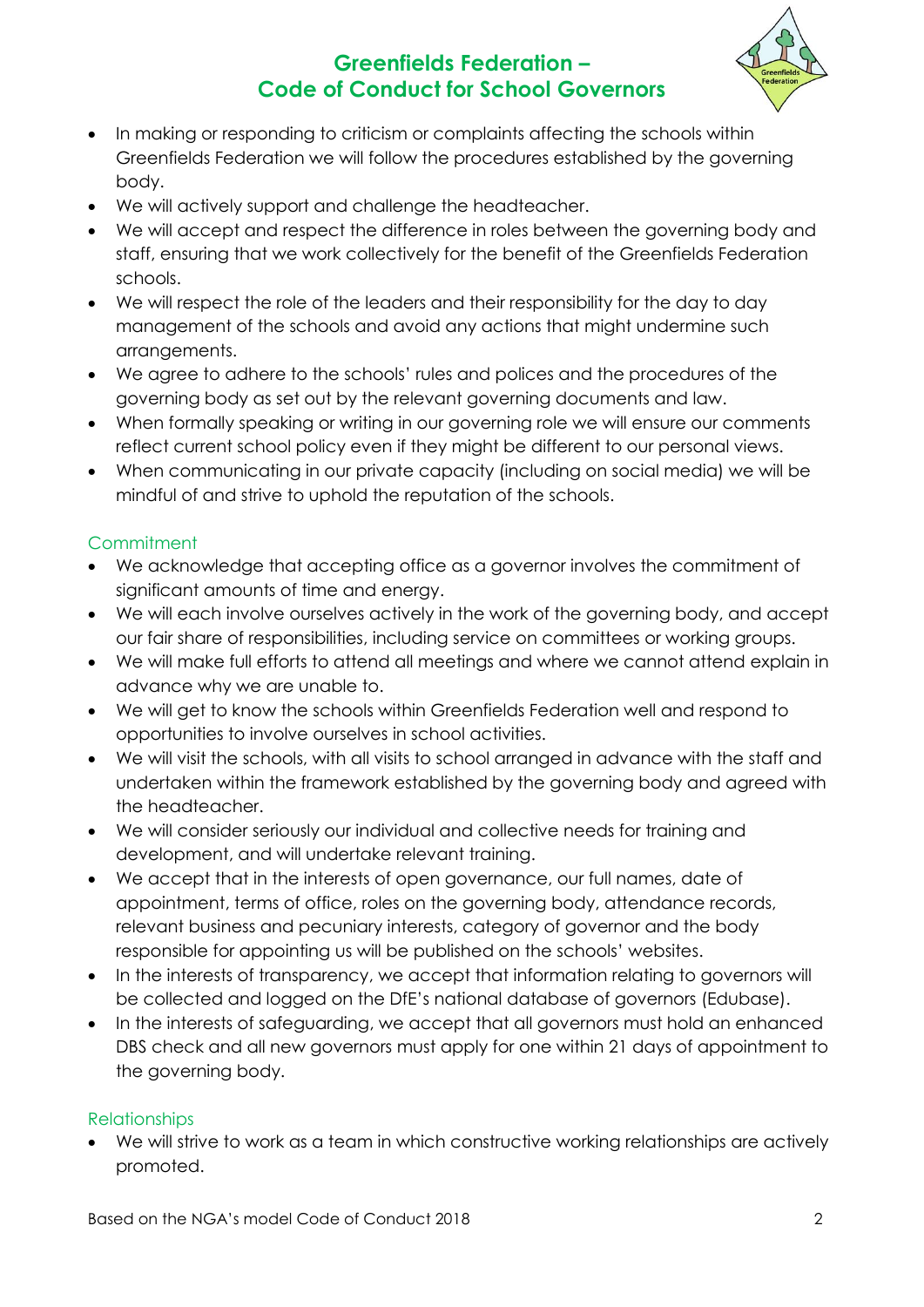

- In making or responding to criticism or complaints affecting the schools within Greenfields Federation we will follow the procedures established by the governing body.
- We will actively support and challenge the headteacher.
- We will accept and respect the difference in roles between the governing body and staff, ensuring that we work collectively for the benefit of the Greenfields Federation schools.
- We will respect the role of the leaders and their responsibility for the day to day management of the schools and avoid any actions that might undermine such arrangements.
- We agree to adhere to the schools' rules and polices and the procedures of the governing body as set out by the relevant governing documents and law.
- When formally speaking or writing in our governing role we will ensure our comments reflect current school policy even if they might be different to our personal views.
- When communicating in our private capacity (including on social media) we will be mindful of and strive to uphold the reputation of the schools.

## **Commitment**

- We acknowledge that accepting office as a governor involves the commitment of significant amounts of time and energy.
- We will each involve ourselves actively in the work of the governing body, and accept our fair share of responsibilities, including service on committees or working groups.
- We will make full efforts to attend all meetings and where we cannot attend explain in advance why we are unable to.
- We will get to know the schools within Greenfields Federation well and respond to opportunities to involve ourselves in school activities.
- We will visit the schools, with all visits to school arranged in advance with the staff and undertaken within the framework established by the governing body and agreed with the headteacher.
- We will consider seriously our individual and collective needs for training and development, and will undertake relevant training.
- We accept that in the interests of open governance, our full names, date of appointment, terms of office, roles on the governing body, attendance records, relevant business and pecuniary interests, category of governor and the body responsible for appointing us will be published on the schools' websites.
- In the interests of transparency, we accept that information relating to governors will be collected and logged on the DfE's national database of governors (Edubase).
- In the interests of safeguarding, we accept that all governors must hold an enhanced DBS check and all new governors must apply for one within 21 days of appointment to the governing body.

### **Relationships**

 We will strive to work as a team in which constructive working relationships are actively promoted.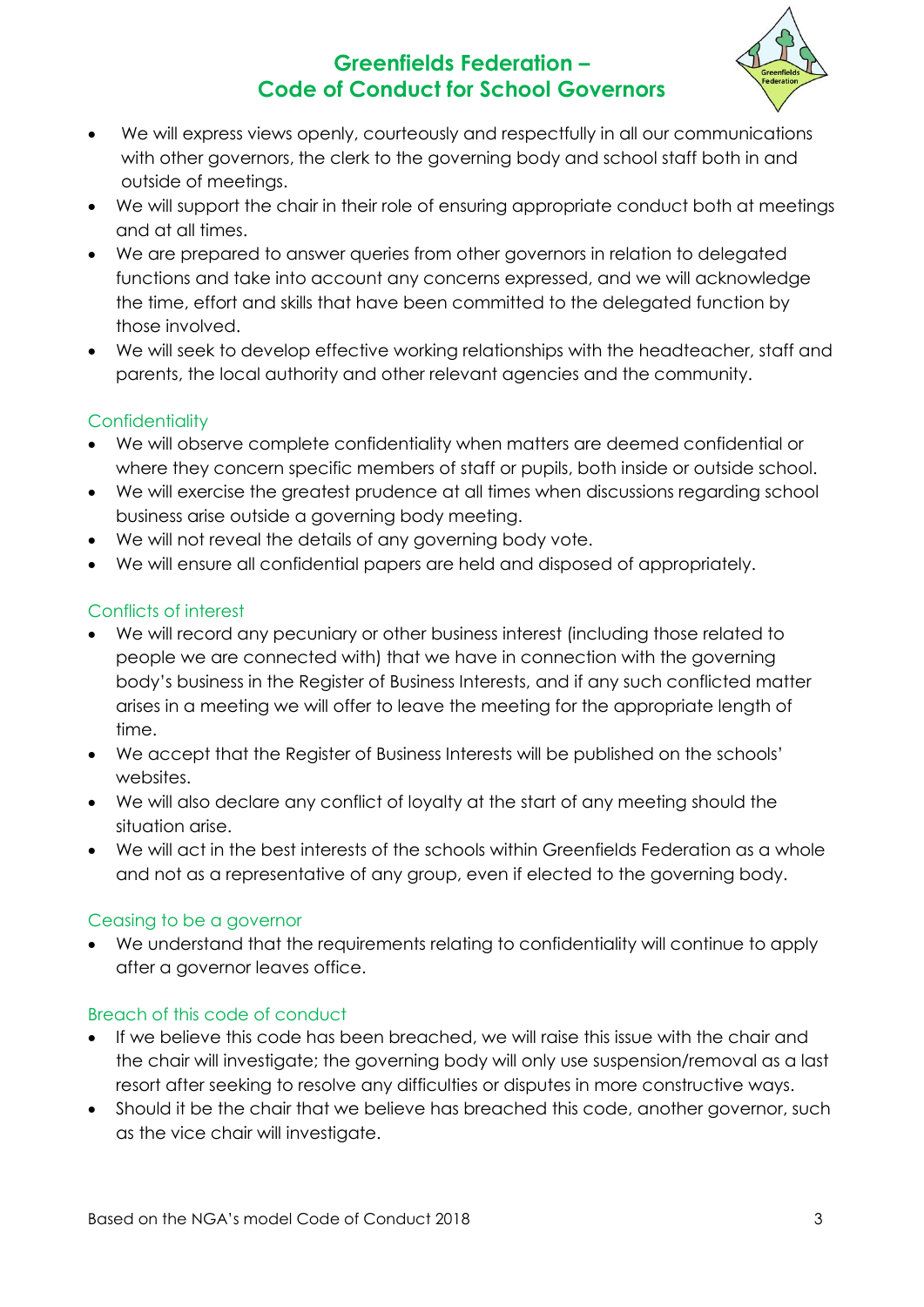

- We will express views openly, courteously and respectfully in all our communications with other governors, the clerk to the governing body and school staff both in and outside of meetings.
- We will support the chair in their role of ensuring appropriate conduct both at meetings and at all times.
- We are prepared to answer queries from other governors in relation to delegated functions and take into account any concerns expressed, and we will acknowledge the time, effort and skills that have been committed to the delegated function by those involved.
- We will seek to develop effective working relationships with the headteacher, staff and parents, the local authority and other relevant agencies and the community.

## **Confidentiality**

- We will observe complete confidentiality when matters are deemed confidential or where they concern specific members of staff or pupils, both inside or outside school.
- We will exercise the greatest prudence at all times when discussions regarding school business arise outside a governing body meeting.
- We will not reveal the details of any governing body vote.
- We will ensure all confidential papers are held and disposed of appropriately.

### Conflicts of interest

- We will record any pecuniary or other business interest (including those related to people we are connected with) that we have in connection with the governing body's business in the Register of Business Interests, and if any such conflicted matter arises in a meeting we will offer to leave the meeting for the appropriate length of time.
- We accept that the Register of Business Interests will be published on the schools' websites.
- We will also declare any conflict of loyalty at the start of any meeting should the situation arise.
- We will act in the best interests of the schools within Greenfields Federation as a whole and not as a representative of any group, even if elected to the governing body.

#### Ceasing to be a governor

 We understand that the requirements relating to confidentiality will continue to apply after a governor leaves office.

#### Breach of this code of conduct

- If we believe this code has been breached, we will raise this issue with the chair and the chair will investigate; the governing body will only use suspension/removal as a last resort after seeking to resolve any difficulties or disputes in more constructive ways.
- Should it be the chair that we believe has breached this code, another governor, such as the vice chair will investigate.